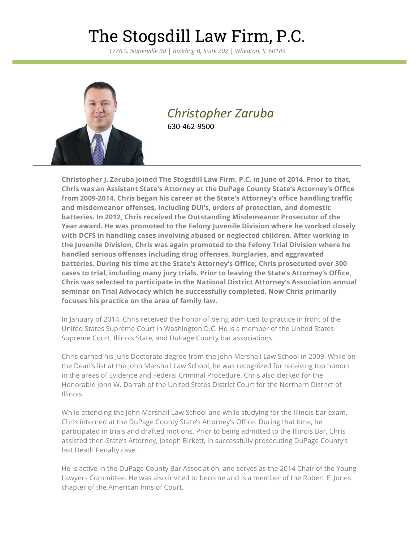### The Stogsdill Law Firm, P.C.

*1776 S. Naperville Rd | Building B, Suite 202 | Wheaton, IL 60189*



### *Christopher Zaruba* 630-462-9500

**Christopher J. Zaruba joined The Stogsdill Law Firm, P.C. in June of 2014. Prior to that, Chris was an Assistant State's Attorney at the DuPage County State's Attorney's Office from 2009-2014. Chris began his career at the State's Attorney's office handling traffic and misdemeanor offenses, including DUI's, orders of protection, and domestic batteries. In 2012, Chris received the Outstanding Misdemeanor Prosecutor of the Year award. He was promoted to the Felony Juvenile Division where he worked closely with DCFS in handling cases involving abused or neglected children. After working in the Juvenile Division, Chris was again promoted to the Felony Trial Division where he handled serious offenses including drug offenses, burglaries, and aggravated batteries. During his time at the State's Attorney's Office, Chris prosecuted over 300 cases to trial, including many jury trials. Prior to leaving the State's Attorney's Office, Chris was selected to participate in the National District Attorney's Association annual seminar on Trial Advocacy which he successfully completed. Now Chris primarily focuses his practice on the area of family law.**

In January of 2014, Chris received the honor of being admitted to practice in front of the United States Supreme Court in Washington D.C. He is a member of the United States Supreme Court, Illinois State, and DuPage County bar associations.

Chris earned his Juris Doctorate degree from the John Marshall Law School in 2009. While on the Dean's list at the John Marshall Law School, he was recognized for receiving top honors in the areas of Evidence and Federal Criminal Procedure. Chris also clerked for the Honorable John W. Darrah of the United States District Court for the Northern District of Illinois.

While attending the John Marshall Law School and while studying for the Illinois bar exam, Chris interned at the DuPage County State's Attorney's Office. During that time, he participated in trials and drafted motions. Prior to being admitted to the Illinois Bar, Chris assisted then-State's Attorney, Joseph Birkett, in successfully prosecuting DuPage County's last Death Penalty case.

He is active in the DuPage County Bar Association, and serves as the 2014 Chair of the Young Lawyers Committee. He was also invited to become and is a member of the Robert E. Jones chapter of the American Inns of Court.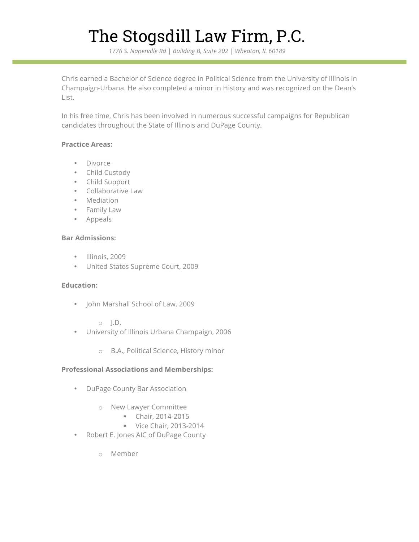# The Stogsdill Law Firm, P.C.

*1776 S. Naperville Rd | Building B, Suite 202 | Wheaton, IL 60189*

Chris earned a Bachelor of Science degree in Political Science from the University of Illinois in Champaign-Urbana. He also completed a minor in History and was recognized on the Dean's List.

In his free time, Chris has been involved in numerous successful campaigns for Republican candidates throughout the State of Illinois and DuPage County.

#### **Practice Areas:**

- Divorce
- Child Custody
- Child Support
- Collaborative Law
- Mediation
- Family Law
- Appeals

#### **Bar Admissions:**

- Illinois, 2009
- United States Supreme Court, 2009

#### **Education:**

- John Marshall School of Law, 2009
	- $\circ$  I.D.
- University of Illinois Urbana Champaign, 2006
	- o B.A., Political Science, History minor

#### **Professional Associations and Memberships:**

- DuPage County Bar Association
	- o New Lawyer Committee
		- § Chair, 2014-2015
		- § Vice Chair, 2013-2014
- Robert E. Jones AIC of DuPage County
	- o Member